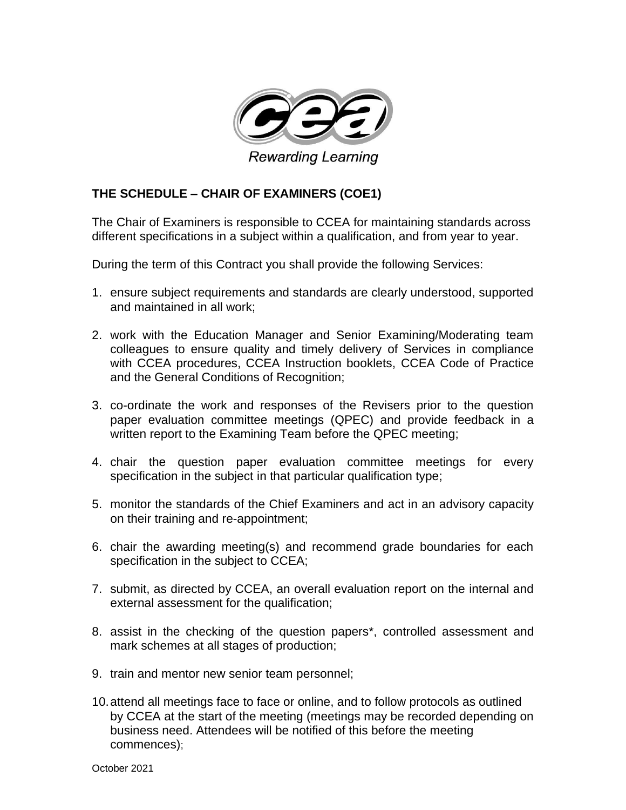

## **THE SCHEDULE – CHAIR OF EXAMINERS (COE1)**

The Chair of Examiners is responsible to CCEA for maintaining standards across different specifications in a subject within a qualification, and from year to year.

During the term of this Contract you shall provide the following Services:

- 1. ensure subject requirements and standards are clearly understood, supported and maintained in all work;
- 2. work with the Education Manager and Senior Examining/Moderating team colleagues to ensure quality and timely delivery of Services in compliance with CCEA procedures, CCEA Instruction booklets, CCEA Code of Practice and the General Conditions of Recognition;
- 3. co-ordinate the work and responses of the Revisers prior to the question paper evaluation committee meetings (QPEC) and provide feedback in a written report to the Examining Team before the QPEC meeting;
- 4. chair the question paper evaluation committee meetings for every specification in the subject in that particular qualification type;
- 5. monitor the standards of the Chief Examiners and act in an advisory capacity on their training and re-appointment;
- 6. chair the awarding meeting(s) and recommend grade boundaries for each specification in the subject to CCEA;
- 7. submit, as directed by CCEA, an overall evaluation report on the internal and external assessment for the qualification;
- 8. assist in the checking of the question papers\*, controlled assessment and mark schemes at all stages of production;
- 9. train and mentor new senior team personnel;
- 10.attend all meetings face to face or online, and to follow protocols as outlined by CCEA at the start of the meeting (meetings may be recorded depending on business need. Attendees will be notified of this before the meeting commences);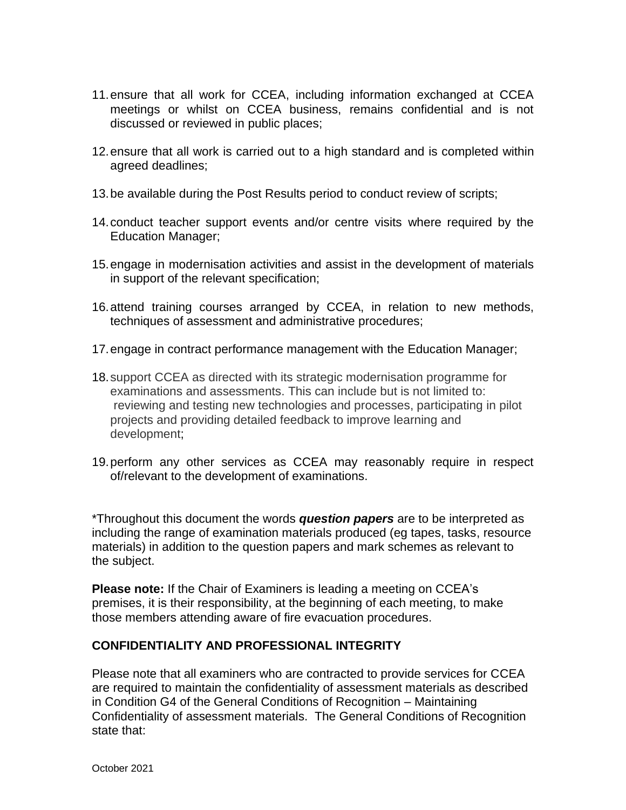- 11.ensure that all work for CCEA, including information exchanged at CCEA meetings or whilst on CCEA business, remains confidential and is not discussed or reviewed in public places;
- 12.ensure that all work is carried out to a high standard and is completed within agreed deadlines;
- 13.be available during the Post Results period to conduct review of scripts;
- 14.conduct teacher support events and/or centre visits where required by the Education Manager;
- 15.engage in modernisation activities and assist in the development of materials in support of the relevant specification;
- 16.attend training courses arranged by CCEA, in relation to new methods, techniques of assessment and administrative procedures;
- 17.engage in contract performance management with the Education Manager;
- 18.support CCEA as directed with its strategic modernisation programme for examinations and assessments. This can include but is not limited to: reviewing and testing new technologies and processes, participating in pilot projects and providing detailed feedback to improve learning and development;
- 19.perform any other services as CCEA may reasonably require in respect of/relevant to the development of examinations.

\*Throughout this document the words *question papers* are to be interpreted as including the range of examination materials produced (eg tapes, tasks, resource materials) in addition to the question papers and mark schemes as relevant to the subject.

**Please note:** If the Chair of Examiners is leading a meeting on CCEA's premises, it is their responsibility, at the beginning of each meeting, to make those members attending aware of fire evacuation procedures.

## **CONFIDENTIALITY AND PROFESSIONAL INTEGRITY**

Please note that all examiners who are contracted to provide services for CCEA are required to maintain the confidentiality of assessment materials as described in Condition G4 of the General Conditions of Recognition – Maintaining Confidentiality of assessment materials. The General Conditions of Recognition state that: